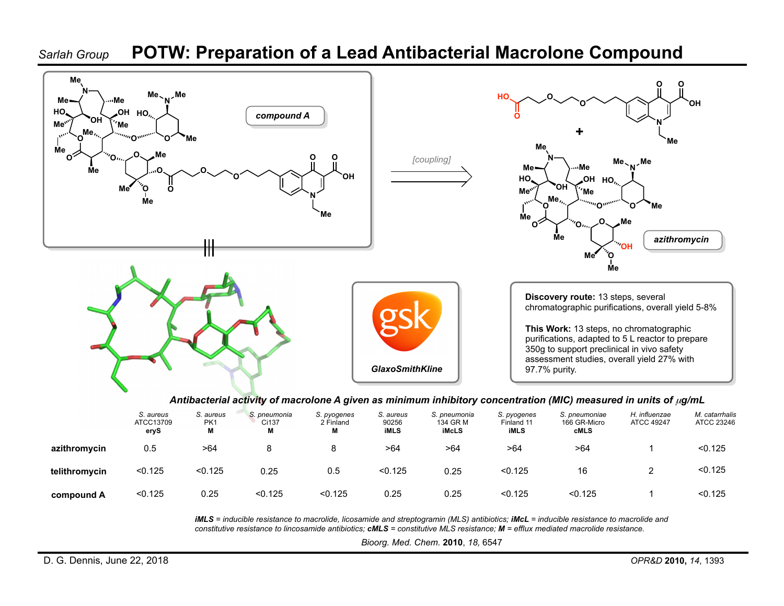## *Sarlah Group* **POTW: Preparation of a Lead Antibacterial Macrolone Compound**



|               | S. aureus<br>ATCC13709<br>eryS | S. aureus<br>PK1<br>M | S. pneumonia<br>Ci137<br>M | S. pyogenes<br>2 Finland<br>м | S. aureus<br>90256<br><b>iMLS</b> | S. pneumonia<br>134 GR M<br><b>iMcLS</b> | S. pyogenes<br>Finland 11<br>iMLS | S. pneumoniae<br>166 GR-Micro<br><b>cMLS</b> | H. influenzae<br><b>ATCC 49247</b> | M. catarrhalis<br>ATCC 23246 |
|---------------|--------------------------------|-----------------------|----------------------------|-------------------------------|-----------------------------------|------------------------------------------|-----------------------------------|----------------------------------------------|------------------------------------|------------------------------|
| azithromycin  | 0.5                            | >64                   |                            |                               | >64                               | >64                                      | >64                               | >64                                          |                                    | < 0.125                      |
| telithromycin | < 0.125                        | < 0.125               | 0.25                       | 0.5                           | < 0.125                           | 0.25                                     | < 0.125                           | 16                                           |                                    | < 0.125                      |
| compound A    | < 0.125                        | 0.25                  | < 0.125                    | < 0.125                       | 0.25                              | 0.25                                     | < 0.125                           | < 0.125                                      |                                    | < 0.125                      |

*iMLS* = inducible resistance to macrolide, licosamide and streptogramin (MLS) antibiotics; *iMcL* = inducible resistance to macrolide and *constitutive resistance to lincosamide antibiotics; cMLS = constitutive MLS resistance; M = efflux mediated macrolide resistance.*

*Bioorg. Med. Chem.* **2010**, *18,* 6547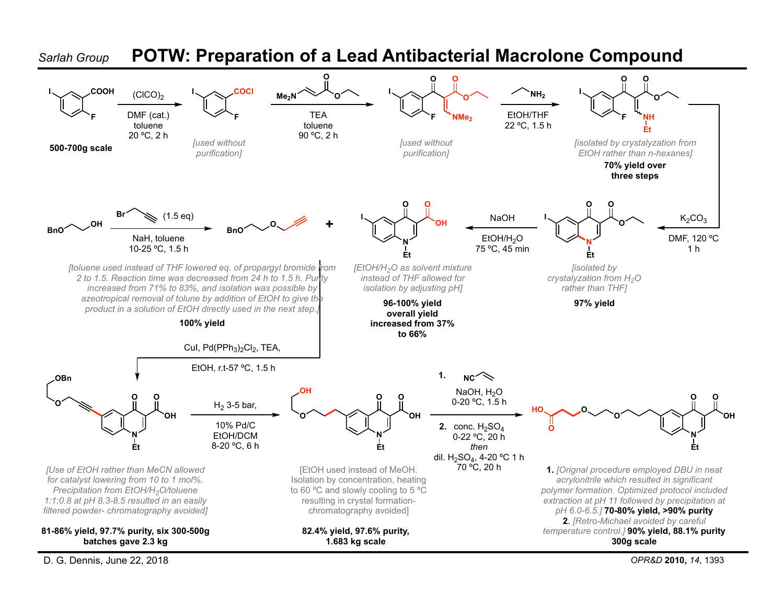

D. G. Dennis, June 22, 2018 *OPR&D* **2010,** *14*, 1393